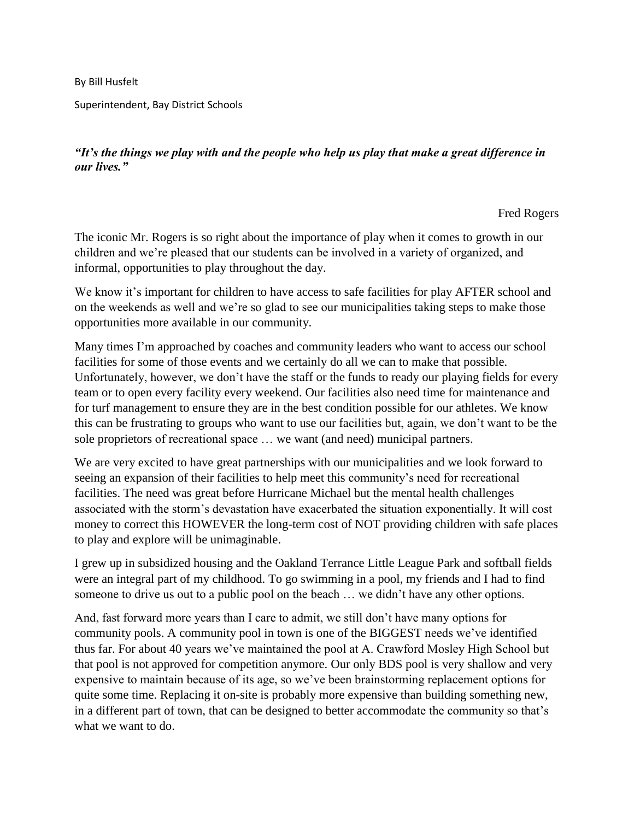By Bill Husfelt

Superintendent, Bay District Schools

*"It's the things we play with and the people who help us play that make a great difference in our lives."*

Fred Rogers

The iconic Mr. Rogers is so right about the importance of play when it comes to growth in our children and we're pleased that our students can be involved in a variety of organized, and informal, opportunities to play throughout the day.

We know it's important for children to have access to safe facilities for play AFTER school and on the weekends as well and we're so glad to see our municipalities taking steps to make those opportunities more available in our community.

Many times I'm approached by coaches and community leaders who want to access our school facilities for some of those events and we certainly do all we can to make that possible. Unfortunately, however, we don't have the staff or the funds to ready our playing fields for every team or to open every facility every weekend. Our facilities also need time for maintenance and for turf management to ensure they are in the best condition possible for our athletes. We know this can be frustrating to groups who want to use our facilities but, again, we don't want to be the sole proprietors of recreational space … we want (and need) municipal partners.

We are very excited to have great partnerships with our municipalities and we look forward to seeing an expansion of their facilities to help meet this community's need for recreational facilities. The need was great before Hurricane Michael but the mental health challenges associated with the storm's devastation have exacerbated the situation exponentially. It will cost money to correct this HOWEVER the long-term cost of NOT providing children with safe places to play and explore will be unimaginable.

I grew up in subsidized housing and the Oakland Terrance Little League Park and softball fields were an integral part of my childhood. To go swimming in a pool, my friends and I had to find someone to drive us out to a public pool on the beach … we didn't have any other options.

And, fast forward more years than I care to admit, we still don't have many options for community pools. A community pool in town is one of the BIGGEST needs we've identified thus far. For about 40 years we've maintained the pool at A. Crawford Mosley High School but that pool is not approved for competition anymore. Our only BDS pool is very shallow and very expensive to maintain because of its age, so we've been brainstorming replacement options for quite some time. Replacing it on-site is probably more expensive than building something new, in a different part of town, that can be designed to better accommodate the community so that's what we want to do.